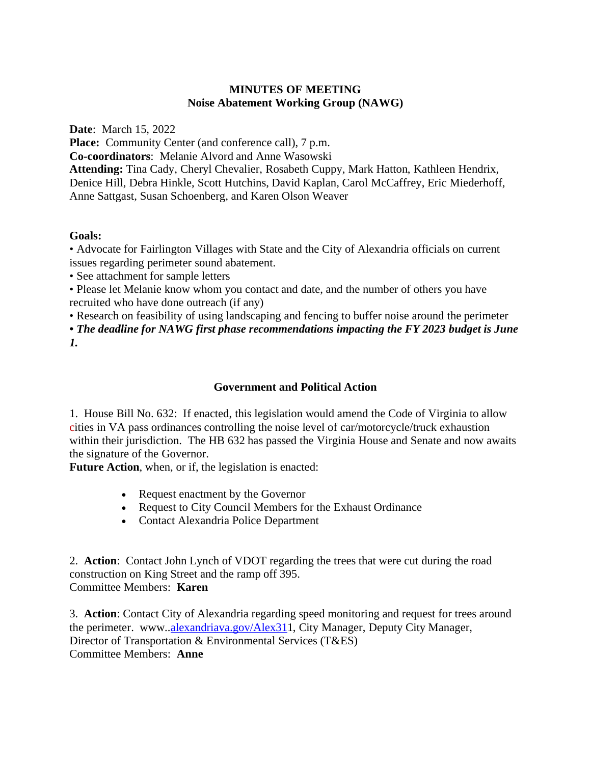## **MINUTES OF MEETING Noise Abatement Working Group (NAWG)**

**Date**: March 15, 2022

Place: Community Center (and conference call), 7 p.m.

**Co-coordinators**: Melanie Alvord and Anne Wasowski

**Attending:** Tina Cady, Cheryl Chevalier, Rosabeth Cuppy, Mark Hatton, Kathleen Hendrix, Denice Hill, Debra Hinkle, Scott Hutchins, David Kaplan, Carol McCaffrey, Eric Miederhoff, Anne Sattgast, Susan Schoenberg, and Karen Olson Weaver

# **Goals:**

• Advocate for Fairlington Villages with State and the City of Alexandria officials on current issues regarding perimeter sound abatement.

• See attachment for sample letters

• Please let Melanie know whom you contact and date, and the number of others you have recruited who have done outreach (if any)

• Research on feasibility of using landscaping and fencing to buffer noise around the perimeter

*• The deadline for NAWG first phase recommendations impacting the FY 2023 budget is June 1.*

# **Government and Political Action**

1. House Bill No. 632: If enacted, this legislation would amend the Code of Virginia to allow cities in VA pass ordinances controlling the noise level of car/motorcycle/truck exhaustion within their jurisdiction. The HB 632 has passed the Virginia House and Senate and now awaits the signature of the Governor.

**Future Action**, when, or if, the legislation is enacted:

- Request enactment by the Governor
- Request to City Council Members for the Exhaust Ordinance
- Contact Alexandria Police Department

2. **Action**: Contact John Lynch of VDOT regarding the trees that were cut during the road construction on King Street and the ramp off 395. Committee Members: **Karen**

3. **Action**: Contact City of Alexandria regarding speed monitoring and request for trees around the perimeter. www..alexandriava.gov/Alex311, City Manager, Deputy City Manager, Director of Transportation & Environmental Services (T&ES) Committee Members: **Anne**